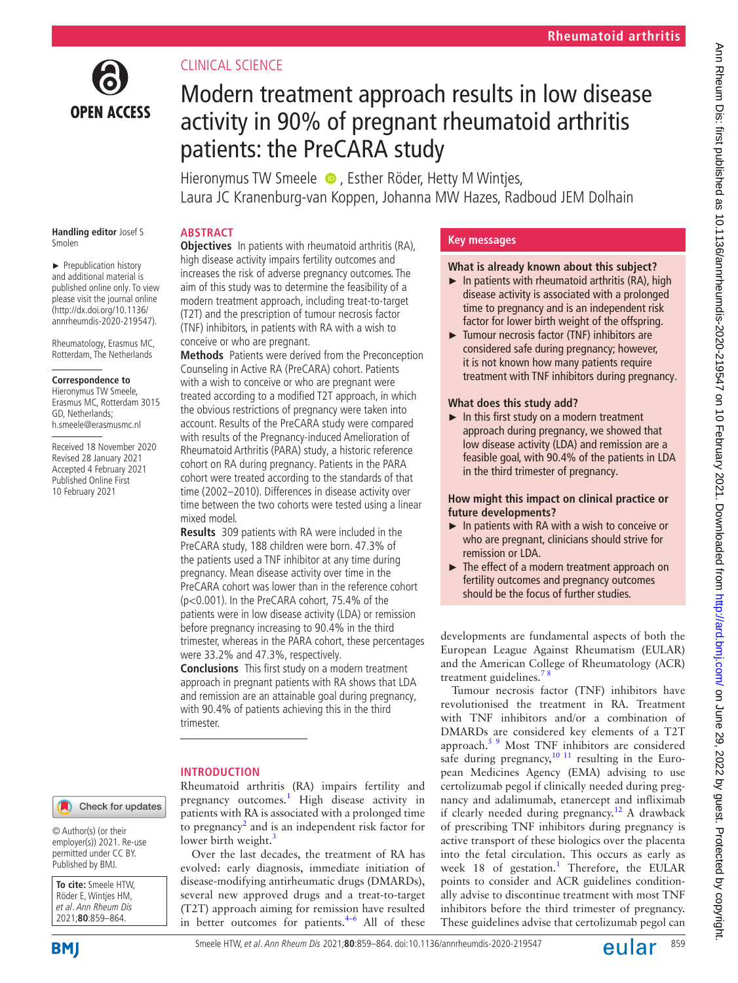

# CLINICAL SCIENCE

# Modern treatment approach results in low disease activity in 90% of pregnant rheumatoid arthritis patients: the PreCARA study

Hieronymus TW Smeele  $\bullet$ , Esther Röder, Hetty M Wintjes, Laura JC Kranenburg-van Koppen, Johanna MW Hazes, Radboud JEM Dolhain

# **ABSTRACT**

**Handling editor** Josef S Smolen

► Prepublication history and additional material is published online only. To view please visit the journal online (http://dx.doi.org/10.1136/ annrheumdis-2020-219547).

Rheumatology, Erasmus MC, Rotterdam, The Netherlands

#### **Correspondence to**

Hieronymus TW Smeele, Erasmus MC, Rotterdam 3015 GD, Netherlands; h.smeele@erasmusmc.nl

Received 18 November 2020 Revised 28 January 2021 Accepted 4 February 2021 Published Online First 10 February 2021

**Objectives** In patients with rheumatoid arthritis (RA), high disease activity impairs fertility outcomes and increases the risk of adverse pregnancy outcomes. The aim of this study was to determine the feasibility of a modern treatment approach, including treat-to-target (T2T) and the prescription of tumour necrosis factor (TNF) inhibitors, in patients with RA with a wish to conceive or who are pregnant.

**Methods** Patients were derived from the Preconception Counseling in Active RA (PreCARA) cohort. Patients with a wish to conceive or who are pregnant were treated according to a modified T2T approach, in which the obvious restrictions of pregnancy were taken into account. Results of the PreCARA study were compared with results of the Pregnancy-induced Amelioration of Rheumatoid Arthritis (PARA) study, a historic reference cohort on RA during pregnancy. Patients in the PARA cohort were treated according to the standards of that time (2002–2010). Differences in disease activity over time between the two cohorts were tested using a linear mixed model.

**Results** 309 patients with RA were included in the PreCARA study, 188 children were born. 47.3% of the patients used a TNF inhibitor at any time during pregnancy. Mean disease activity over time in the PreCARA cohort was lower than in the reference cohort (p<0.001). In the PreCARA cohort, 75.4% of the patients were in low disease activity (LDA) or remission before pregnancy increasing to 90.4% in the third trimester, whereas in the PARA cohort, these percentages were 33.2% and 47.3%, respectively.

**Conclusions** This first study on a modern treatment approach in pregnant patients with RA shows that LDA and remission are an attainable goal during pregnancy, with 90.4% of patients achieving this in the third trimester.

# **INTRODUCTION**

Check for updates

© Author(s) (or their employer(s)) 2021. Re-use permitted under CC BY. Published by BMJ.



Rheumatoid arthritis (RA) impairs fertility and pregnancy outcomes.<sup>[1](#page-5-0)</sup> High disease activity in patients with RA is associated with a prolonged time to pregnancy<sup>[2](#page-5-1)</sup> and is an independent risk factor for lower birth weight.<sup>[3](#page-5-2)</sup>

Over the last decades, the treatment of RA has evolved: early diagnosis, immediate initiation of disease-modifying antirheumatic drugs (DMARDs), several new approved drugs and a treat-to-target (T2T) approach aiming for remission have resulted in better outcomes for patients. $4-6$  All of these

# **Key messages**

# **What is already known about this subject?**

- $\blacktriangleright$  In patients with rheumatoid arthritis (RA), high disease activity is associated with a prolonged time to pregnancy and is an independent risk factor for lower birth weight of the offspring.
- ► Tumour necrosis factor (TNF) inhibitors are considered safe during pregnancy; however, it is not known how many patients require treatment with TNF inhibitors during pregnancy.

# **What does this study add?**

► In this first study on a modern treatment approach during pregnancy, we showed that low disease activity (LDA) and remission are a feasible goal, with 90.4% of the patients in LDA in the third trimester of pregnancy.

# **How might this impact on clinical practice or future developments?**

- ► In patients with RA with a wish to conceive or who are pregnant, clinicians should strive for remission or LDA.
- ► The effect of a modern treatment approach on fertility outcomes and pregnancy outcomes should be the focus of further studies.

developments are fundamental aspects of both the European League Against Rheumatism (EULAR) and the American College of Rheumatology (ACR) treatment guidelines.<sup>7</sup>

Tumour necrosis factor (TNF) inhibitors have revolutionised the treatment in RA. Treatment with TNF inhibitors and/or a combination of DMARDs are considered key elements of a T2T approach[.5 9](#page-5-5) Most TNF inhibitors are considered safe during pregnancy, $10^{-11}$  resulting in the European Medicines Agency (EMA) advising to use certolizumab pegol if clinically needed during pregnancy and adalimumab, etanercept and infliximab if clearly needed during pregnancy.<sup>[12](#page-5-7)</sup> A drawback of prescribing TNF inhibitors during pregnancy is active transport of these biologics over the placenta into the fetal circulation. This occurs as early as week 18 of gestation.<sup>1</sup> Therefore, the EULAR points to consider and ACR guidelines conditionally advise to discontinue treatment with most TNF inhibitors before the third trimester of pregnancy. These guidelines advise that certolizumab pegol can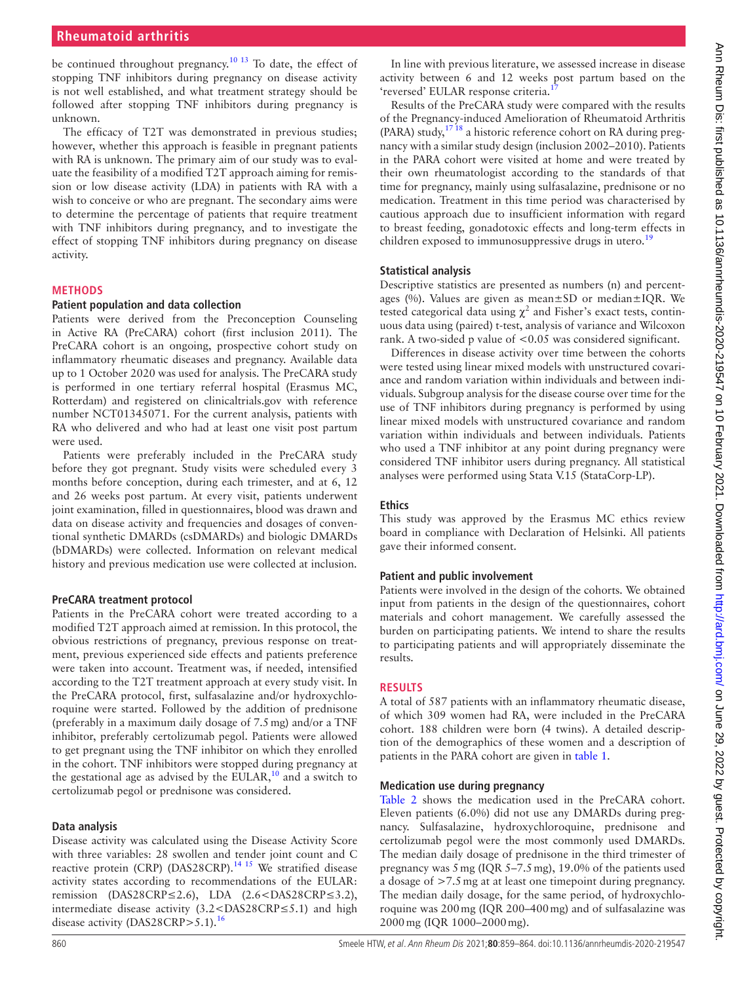# **Rheumatoid arthritis**

be continued throughout pregnancy.<sup>10 13</sup> To date, the effect of stopping TNF inhibitors during pregnancy on disease activity is not well established, and what treatment strategy should be followed after stopping TNF inhibitors during pregnancy is unknown.

The efficacy of T2T was demonstrated in previous studies; however, whether this approach is feasible in pregnant patients with RA is unknown. The primary aim of our study was to evaluate the feasibility of a modified T2T approach aiming for remission or low disease activity (LDA) in patients with RA with a wish to conceive or who are pregnant. The secondary aims were to determine the percentage of patients that require treatment with TNF inhibitors during pregnancy, and to investigate the effect of stopping TNF inhibitors during pregnancy on disease activity.

## **METHODS**

# **Patient population and data collection**

Patients were derived from the Preconception Counseling in Active RA (PreCARA) cohort (first inclusion 2011). The PreCARA cohort is an ongoing, prospective cohort study on inflammatory rheumatic diseases and pregnancy. Available data up to 1 October 2020 was used for analysis. The PreCARA study is performed in one tertiary referral hospital (Erasmus MC, Rotterdam) and registered on clinicaltrials.gov with reference number NCT01345071. For the current analysis, patients with RA who delivered and who had at least one visit post partum were used.

Patients were preferably included in the PreCARA study before they got pregnant. Study visits were scheduled every 3 months before conception, during each trimester, and at 6, 12 and 26 weeks post partum. At every visit, patients underwent joint examination, filled in questionnaires, blood was drawn and data on disease activity and frequencies and dosages of conventional synthetic DMARDs (csDMARDs) and biologic DMARDs (bDMARDs) were collected. Information on relevant medical history and previous medication use were collected at inclusion.

#### **PreCARA treatment protocol**

Patients in the PreCARA cohort were treated according to a modified T2T approach aimed at remission. In this protocol, the obvious restrictions of pregnancy, previous response on treatment, previous experienced side effects and patients preference were taken into account. Treatment was, if needed, intensified according to the T2T treatment approach at every study visit. In the PreCARA protocol, first, sulfasalazine and/or hydroxychloroquine were started. Followed by the addition of prednisone (preferably in a maximum daily dosage of 7.5mg) and/or a TNF inhibitor, preferably certolizumab pegol. Patients were allowed to get pregnant using the TNF inhibitor on which they enrolled in the cohort. TNF inhibitors were stopped during pregnancy at the gestational age as advised by the EULAR, $10$  and a switch to certolizumab pegol or prednisone was considered.

#### **Data analysis**

Disease activity was calculated using the Disease Activity Score with three variables: 28 swollen and tender joint count and C reactive protein (CRP) (DAS28CRP).<sup>[14 15](#page-5-8)</sup> We stratified disease activity states according to recommendations of the EULAR: remission (DAS28CRP≤2.6), LDA (2.6<DAS28CRP≤3.2), intermediate disease activity (3.2<DAS28CRP≤5.1) and high disease activity (DAS28CRP>5.1).<sup>[16](#page-5-9)</sup>

In line with previous literature, we assessed increase in disease activity between 6 and 12 weeks post partum based on the 'reversed' EULAR response criteria.

Results of the PreCARA study were compared with the results of the Pregnancy-induced Amelioration of Rheumatoid Arthritis (PARA) study, $17^{18}$  a historic reference cohort on RA during pregnancy with a similar study design (inclusion 2002–2010). Patients in the PARA cohort were visited at home and were treated by their own rheumatologist according to the standards of that time for pregnancy, mainly using sulfasalazine, prednisone or no medication. Treatment in this time period was characterised by cautious approach due to insufficient information with regard to breast feeding, gonadotoxic effects and long-term effects in children exposed to immunosuppressive drugs in utero.<sup>[19](#page-5-11)</sup>

#### **Statistical analysis**

Descriptive statistics are presented as numbers (n) and percentages (%). Values are given as mean±SD or median±IQR. We tested categorical data using  $\chi^2$  and Fisher's exact tests, continuous data using (paired) t-test, analysis of variance and Wilcoxon rank. A two-sided p value of <0.05 was considered significant.

Differences in disease activity over time between the cohorts were tested using linear mixed models with unstructured covariance and random variation within individuals and between individuals. Subgroup analysis for the disease course over time for the use of TNF inhibitors during pregnancy is performed by using linear mixed models with unstructured covariance and random variation within individuals and between individuals. Patients who used a TNF inhibitor at any point during pregnancy were considered TNF inhibitor users during pregnancy. All statistical analyses were performed using Stata V.15 (StataCorp-LP).

#### **Ethics**

This study was approved by the Erasmus MC ethics review board in compliance with Declaration of Helsinki. All patients gave their informed consent.

#### **Patient and public involvement**

Patients were involved in the design of the cohorts. We obtained input from patients in the design of the questionnaires, cohort materials and cohort management. We carefully assessed the burden on participating patients. We intend to share the results to participating patients and will appropriately disseminate the results.

#### **RESULTS**

A total of 587 patients with an inflammatory rheumatic disease, of which 309 women had RA, were included in the PreCARA cohort. 188 children were born (4 twins). A detailed description of the demographics of these women and a description of patients in the PARA cohort are given in [table](#page-2-0) 1.

#### **Medication use during pregnancy**

[Table](#page-2-1) 2 shows the medication used in the PreCARA cohort. Eleven patients (6.0%) did not use any DMARDs during pregnancy. Sulfasalazine, hydroxychloroquine, prednisone and certolizumab pegol were the most commonly used DMARDs. The median daily dosage of prednisone in the third trimester of pregnancy was 5mg (IQR 5–7.5mg), 19.0% of the patients used a dosage of >7.5mg at at least one timepoint during pregnancy. The median daily dosage, for the same period, of hydroxychloroquine was 200mg (IQR 200–400mg) and of sulfasalazine was 2000mg (IQR 1000–2000mg).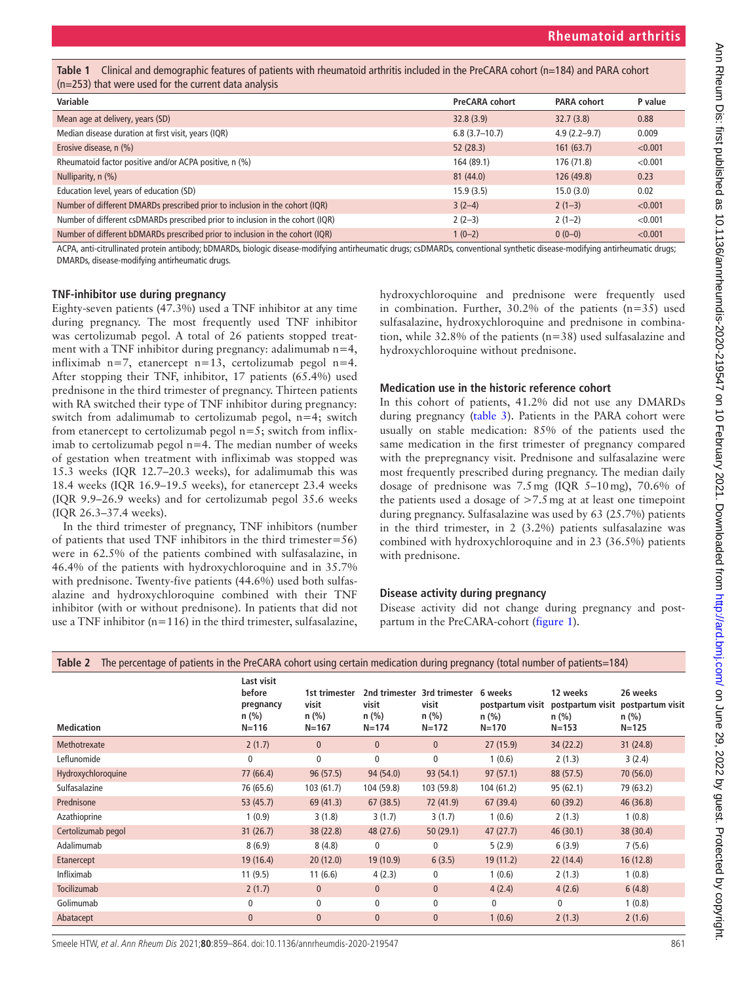<span id="page-2-0"></span>**Table 1** Clinical and demographic features of patients with rheumatoid arthritis included in the PreCARA cohort (n=184) and PARA cohort (n=253) that were used for the current data analysis

| Variable                                                                       | <b>PreCARA cohort</b> | <b>PARA cohort</b> | P value |
|--------------------------------------------------------------------------------|-----------------------|--------------------|---------|
| Mean age at delivery, years (SD)                                               | 32.8(3.9)             | 32.7(3.8)          | 0.88    |
| Median disease duration at first visit, years (IQR)                            | $6.8(3.7-10.7)$       | $4.9(2.2 - 9.7)$   | 0.009   |
| Erosive disease, n (%)                                                         | 52(28.3)              | 161(63.7)          | < 0.001 |
| Rheumatoid factor positive and/or ACPA positive, n (%)                         | 164 (89.1)            | 176 (71.8)         | < 0.001 |
| Nulliparity, n (%)                                                             | 81(44.0)              | 126 (49.8)         | 0.23    |
| Education level, years of education (SD)                                       | 15.9(3.5)             | 15.0(3.0)          | 0.02    |
| Number of different DMARDs prescribed prior to inclusion in the cohort (IQR)   | $3(2-4)$              | $2(1-3)$           | < 0.001 |
| Number of different csDMARDs prescribed prior to inclusion in the cohort (IQR) | $2(2-3)$              | $2(1-2)$           | < 0.001 |
| Number of different bDMARDs prescribed prior to inclusion in the cohort (IQR)  | $1(0-2)$              | $0(0-0)$           | < 0.001 |

ACPA, anti-citrullinated protein antibody; bDMARDs, biologic disease-modifying antirheumatic drugs; csDMARDs, conventional synthetic disease-modifying antirheumatic drugs; DMARDs, disease-modifying antirheumatic drugs.

## **TNF-inhibitor use during pregnancy**

Eighty-seven patients (47.3%) used a TNF inhibitor at any time during pregnancy. The most frequently used TNF inhibitor was certolizumab pegol. A total of 26 patients stopped treatment with a TNF inhibitor during pregnancy: adalimumab n=4, infliximab n=7, etanercept n=13, certolizumab pegol n=4. After stopping their TNF, inhibitor, 17 patients (65.4%) used prednisone in the third trimester of pregnancy. Thirteen patients with RA switched their type of TNF inhibitor during pregnancy: switch from adalimumab to certolizumab pegol, n=4; switch from etanercept to certolizumab pegol  $n=5$ ; switch from infliximab to certolizumab pegol  $n=4$ . The median number of weeks of gestation when treatment with infliximab was stopped was 15.3 weeks (IQR 12.7–20.3 weeks), for adalimumab this was 18.4 weeks (IQR 16.9–19.5 weeks), for etanercept 23.4 weeks (IQR 9.9–26.9 weeks) and for certolizumab pegol 35.6 weeks (IQR 26.3–37.4 weeks).

In the third trimester of pregnancy, TNF inhibitors (number of patients that used TNF inhibitors in the third trimester=56) were in 62.5% of the patients combined with sulfasalazine, in 46.4% of the patients with hydroxychloroquine and in 35.7% with prednisone. Twenty-five patients (44.6%) used both sulfasalazine and hydroxychloroquine combined with their TNF inhibitor (with or without prednisone). In patients that did not use a TNF inhibitor (n=116) in the third trimester, sulfasalazine,

hydroxychloroquine and prednisone were frequently used in combination. Further,  $30.2\%$  of the patients (n=35) used sulfasalazine, hydroxychloroquine and prednisone in combination, while 32.8% of the patients (n=38) used sulfasalazine and hydroxychloroquine without prednisone.

# **Medication use in the historic reference cohort**

In this cohort of patients, 41.2% did not use any DMARDs during pregnancy [\(table](#page-3-0) 3). Patients in the PARA cohort were usually on stable medication: 85% of the patients used the same medication in the first trimester of pregnancy compared with the prepregnancy visit. Prednisone and sulfasalazine were most frequently prescribed during pregnancy. The median daily dosage of prednisone was 7.5mg (IQR 5–10mg), 70.6% of the patients used a dosage of  $>7.5$  mg at at least one timepoint during pregnancy. Sulfasalazine was used by 63 (25.7%) patients in the third trimester, in 2 (3.2%) patients sulfasalazine was combined with hydroxychloroquine and in 23 (36.5%) patients with prednisone.

## **Disease activity during pregnancy**

Disease activity did not change during pregnancy and postpartum in the PreCARA-cohort ([figure](#page-3-1) 1).

<span id="page-2-1"></span>

| The percentage of patients in the PreCARA cohort using certain medication during pregnancy (total number of patients=184)<br>Table 2 |                                                           |                                                |                               |                                                              |                                                     |                                                                       |                                  |
|--------------------------------------------------------------------------------------------------------------------------------------|-----------------------------------------------------------|------------------------------------------------|-------------------------------|--------------------------------------------------------------|-----------------------------------------------------|-----------------------------------------------------------------------|----------------------------------|
| Medication                                                                                                                           | Last visit<br>before<br>pregnancy<br>$n$ (%)<br>$N = 116$ | 1st trimester<br>visit<br>$n$ (%)<br>$N = 167$ | visit<br>$n$ (%)<br>$N = 174$ | 2nd trimester 3rd trimester<br>visit<br>$n$ (%)<br>$N = 172$ | 6 weeks<br>postpartum visit<br>$n$ (%)<br>$N = 170$ | 12 weeks<br>postpartum visit postpartum visit<br>$n$ (%)<br>$N = 153$ | 26 weeks<br>$n$ (%)<br>$N = 125$ |
| Methotrexate                                                                                                                         | 2(1.7)                                                    | $\mathbf{0}$                                   | $\mathbf{0}$                  | $\mathbf{0}$                                                 | 27(15.9)                                            | 34(22.2)                                                              | 31(24.8)                         |
| Leflunomide                                                                                                                          | 0                                                         | $\mathbf 0$                                    | 0                             | $\mathbf{0}$                                                 | 1(0.6)                                              | 2(1.3)                                                                | 3(2.4)                           |
| Hydroxychloroquine                                                                                                                   | 77 (66.4)                                                 | 96(57.5)                                       | 94 (54.0)                     | 93(54.1)                                                     | 97(57.1)                                            | 88 (57.5)                                                             | 70(56.0)                         |
| Sulfasalazine                                                                                                                        | 76 (65.6)                                                 | 103(61.7)                                      | 104 (59.8)                    | 103 (59.8)                                                   | 104(61.2)                                           | 95(62.1)                                                              | 79 (63.2)                        |
| Prednisone                                                                                                                           | 53 (45.7)                                                 | 69(41.3)                                       | 67(38.5)                      | 72 (41.9)                                                    | 67 (39.4)                                           | 60(39.2)                                                              | 46 (36.8)                        |
| Azathioprine                                                                                                                         | 1(0.9)                                                    | 3(1.8)                                         | 3(1.7)                        | 3(1.7)                                                       | 1(0.6)                                              | 2(1.3)                                                                | 1(0.8)                           |
| Certolizumab pegol                                                                                                                   | 31(26.7)                                                  | 38(22.8)                                       | 48 (27.6)                     | 50(29.1)                                                     | 47(27.7)                                            | 46(30.1)                                                              | 38(30.4)                         |
| Adalimumab                                                                                                                           | 8(6.9)                                                    | 8(4.8)                                         | 0                             | 0                                                            | 5(2.9)                                              | 6(3.9)                                                                | 7(5.6)                           |
| Etanercept                                                                                                                           | 19(16.4)                                                  | 20(12.0)                                       | 19(10.9)                      | 6(3.5)                                                       | 19(11.2)                                            | 22(14.4)                                                              | 16(12.8)                         |
| Infliximab                                                                                                                           | 11(9.5)                                                   | 11(6.6)                                        | 4(2.3)                        | 0                                                            | 1(0.6)                                              | 2(1.3)                                                                | 1(0.8)                           |
| Tocilizumab                                                                                                                          | 2(1.7)                                                    | $\mathbf{0}$                                   | $\mathbf{0}$                  | $\mathbf{0}$                                                 | 4(2.4)                                              | 4(2.6)                                                                | 6(4.8)                           |
| Golimumab                                                                                                                            | 0                                                         | 0                                              | 0                             | 0                                                            | 0                                                   | 0                                                                     | 1(0.8)                           |
| Abatacept                                                                                                                            | $\mathbf{0}$                                              | $\mathbf{0}$                                   | $\mathbf{0}$                  | $\mathbf{0}$                                                 | 1(0.6)                                              | 2(1.3)                                                                | 2(1.6)                           |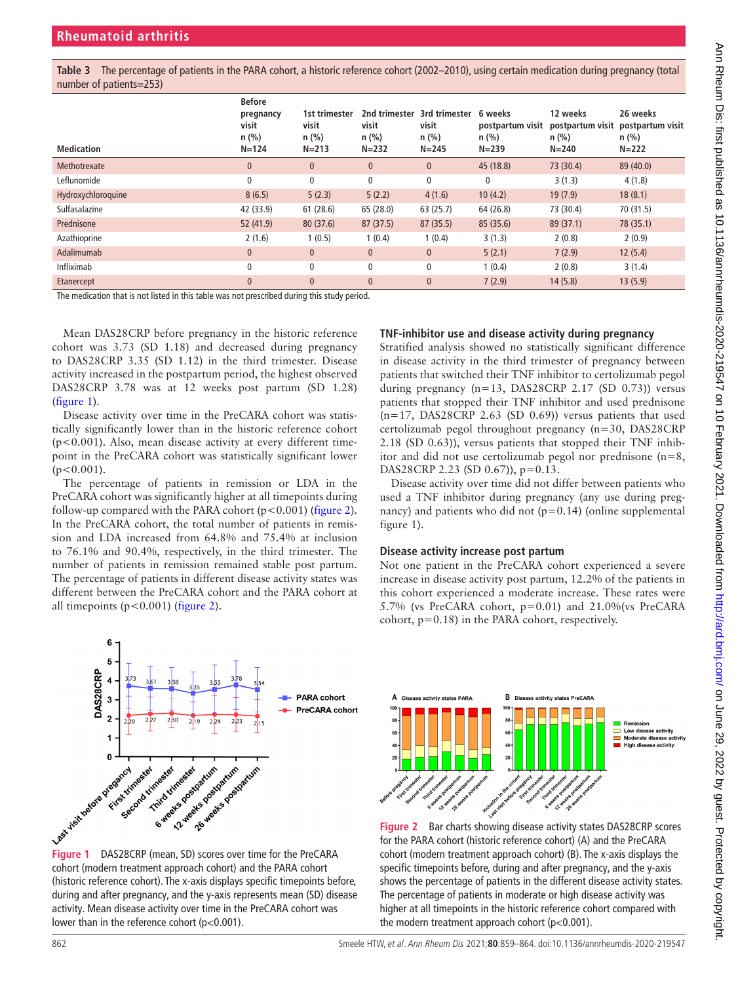<span id="page-3-0"></span>**Table 3** The percentage of patients in the PARA cohort, a historic reference cohort (2002–2010), using certain medication during pregnancy (total number of patients=253)

| <b>Medication</b>  | <b>Before</b><br>pregnancy<br>visit<br>$n$ (%)<br>$N = 124$ | 1st trimester<br>visit<br>$n$ (%)<br>$N = 213$ | 2nd trimester<br>visit<br>$n$ (%)<br>$N = 232$ | 3rd trimester<br>visit<br>$n$ (%)<br>$N = 245$ | 6 weeks<br>postpartum visit<br>$n$ (%)<br>$N = 239$ | 12 weeks<br>$n$ (%)<br>$N = 240$ | 26 weeks<br>postpartum visit postpartum visit<br>$n$ (%)<br>$N = 222$ |
|--------------------|-------------------------------------------------------------|------------------------------------------------|------------------------------------------------|------------------------------------------------|-----------------------------------------------------|----------------------------------|-----------------------------------------------------------------------|
| Methotrexate       | $\mathbf{0}$                                                | $\mathbf{0}$                                   | $\mathbf{0}$                                   | $\mathbf{0}$                                   | 45 (18.8)                                           | 73 (30.4)                        | 89 (40.0)                                                             |
| Leflunomide        | $\mathbf{0}$                                                | $\mathbf{0}$                                   | $\mathbf{0}$                                   | 0                                              | $\mathbf{0}$                                        | 3(1.3)                           | 4(1.8)                                                                |
| Hydroxychloroquine | 8(6.5)                                                      | 5(2.3)                                         | 5(2.2)                                         | 4(1.6)                                         | 10(4.2)                                             | 19(7.9)                          | 18(8.1)                                                               |
| Sulfasalazine      | 42 (33.9)                                                   | 61(28.6)                                       | 65 (28.0)                                      | 63(25.7)                                       | 64 (26.8)                                           | 73 (30.4)                        | 70 (31.5)                                                             |
| Prednisone         | 52(41.9)                                                    | 80(37.6)                                       | 87(37.5)                                       | 87(35.5)                                       | 85 (35.6)                                           | 89 (37.1)                        | 78 (35.1)                                                             |
| Azathioprine       | 2(1.6)                                                      | 1(0.5)                                         | 1(0.4)                                         | 1(0.4)                                         | 3(1.3)                                              | 2(0.8)                           | 2(0.9)                                                                |
| Adalimumab         | $\mathbf{0}$                                                | $\mathbf{0}$                                   | $\mathbf{0}$                                   | $\mathbf{0}$                                   | 5(2.1)                                              | 7(2.9)                           | 12(5.4)                                                               |
| Infliximab         | $\mathbf{0}$                                                | 0                                              | $\mathbf{0}$                                   | 0                                              | 1(0.4)                                              | 2(0.8)                           | 3(1.4)                                                                |
| Etanercept         | $\Omega$                                                    | $\mathbf{0}$                                   | $\mathbf{0}$                                   | $\mathbf{0}$                                   | 7(2.9)                                              | 14(5.8)                          | 13(5.9)                                                               |

The medication that is not listed in this table was not prescribed during this study period.

Mean DAS28CRP before pregnancy in the historic reference cohort was 3.73 (SD 1.18) and decreased during pregnancy to DAS28CRP 3.35 (SD 1.12) in the third trimester. Disease activity increased in the postpartum period, the highest observed DAS28CRP 3.78 was at 12 weeks post partum (SD 1.28) ([figure](#page-3-1) 1).

Disease activity over time in the PreCARA cohort was statistically significantly lower than in the historic reference cohort  $(p<0.001)$ . Also, mean disease activity at every different timepoint in the PreCARA cohort was statistically significant lower  $(p<0.001)$ .

The percentage of patients in remission or LDA in the PreCARA cohort was significantly higher at all timepoints during follow-up compared with the PARA cohort ( $p < 0.001$ ) ([figure](#page-3-2) 2). In the PreCARA cohort, the total number of patients in remission and LDA increased from 64.8% and 75.4% at inclusion to 76.1% and 90.4%, respectively, in the third trimester. The number of patients in remission remained stable post partum. The percentage of patients in different disease activity states was different between the PreCARA cohort and the PARA cohort at all timepoints ( $p < 0.001$ ) ([figure](#page-3-2) 2).



<span id="page-3-1"></span>cohort (modern treatment approach cohort) and the PARA cohort (historic reference cohort). The x-axis displays specific timepoints before, during and after pregnancy, and the y-axis represents mean (SD) disease activity. Mean disease activity over time in the PreCARA cohort was lower than in the reference cohort (p<0.001).

# **TNF-inhibitor use and disease activity during pregnancy**

Stratified analysis showed no statistically significant difference in disease activity in the third trimester of pregnancy between patients that switched their TNF inhibitor to certolizumab pegol during pregnancy  $(n=13, DAS28CRP 2.17 (SD 0.73))$  versus patients that stopped their TNF inhibitor and used prednisone  $(n=17, DAS28CRP 2.63 (SD 0.69))$  versus patients that used certolizumab pegol throughout pregnancy (n=30, DAS28CRP 2.18 (SD 0.63)), versus patients that stopped their TNF inhibitor and did not use certolizumab pegol nor prednisone (n=8, DAS28CRP 2.23 (SD 0.67)), p=0.13.

Disease activity over time did not differ between patients who used a TNF inhibitor during pregnancy (any use during pregnancy) and patients who did not  $(p=0.14)$  [\(online supplemental](https://dx.doi.org/10.1136/annrheumdis-2020-219547) [figure 1\)](https://dx.doi.org/10.1136/annrheumdis-2020-219547).

## **Disease activity increase post partum**

Not one patient in the PreCARA cohort experienced a severe increase in disease activity post partum, 12.2% of the patients in this cohort experienced a moderate increase. These rates were 5.7% (vs PreCARA cohort, p=0.01) and 21.0%(vs PreCARA cohort, p=0.18) in the PARA cohort, respectively.



<span id="page-3-2"></span>**Figure 2** Bar charts showing disease activity states DAS28CRP scores for the PARA cohort (historic reference cohort) (A) and the PreCARA cohort (modern treatment approach cohort) (B). The x-axis displays the specific timepoints before, during and after pregnancy, and the y-axis shows the percentage of patients in the different disease activity states. The percentage of patients in moderate or high disease activity was higher at all timepoints in the historic reference cohort compared with the modern treatment approach cohort (p<0.001).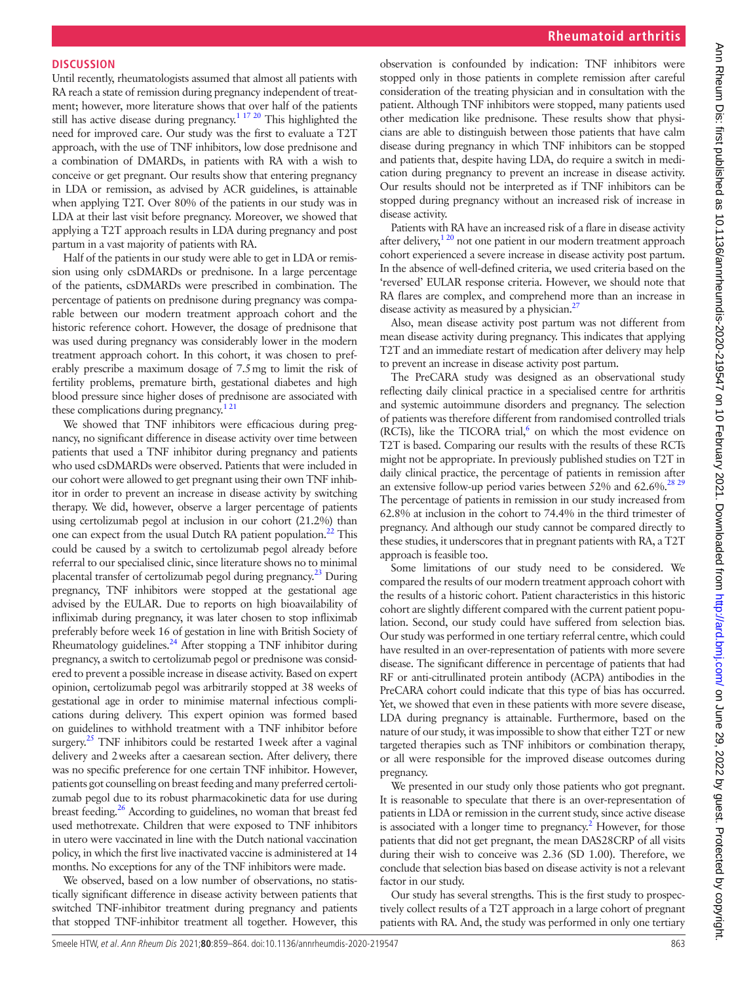# **DISCUSSION**

Until recently, rheumatologists assumed that almost all patients with RA reach a state of remission during pregnancy independent of treatment; however, more literature shows that over half of the patients still has active disease during pregnancy.<sup>1 17 20</sup> This highlighted the need for improved care. Our study was the first to evaluate a T2T approach, with the use of TNF inhibitors, low dose prednisone and a combination of DMARDs, in patients with RA with a wish to conceive or get pregnant. Our results show that entering pregnancy in LDA or remission, as advised by ACR guidelines, is attainable when applying T2T. Over 80% of the patients in our study was in LDA at their last visit before pregnancy. Moreover, we showed that applying a T2T approach results in LDA during pregnancy and post partum in a vast majority of patients with RA.

Half of the patients in our study were able to get in LDA or remission using only csDMARDs or prednisone. In a large percentage of the patients, csDMARDs were prescribed in combination. The percentage of patients on prednisone during pregnancy was comparable between our modern treatment approach cohort and the historic reference cohort. However, the dosage of prednisone that was used during pregnancy was considerably lower in the modern treatment approach cohort. In this cohort, it was chosen to preferably prescribe a maximum dosage of 7.5mg to limit the risk of fertility problems, premature birth, gestational diabetes and high blood pressure since higher doses of prednisone are associated with these complications during pregnancy.<sup>121</sup>

We showed that TNF inhibitors were efficacious during pregnancy, no significant difference in disease activity over time between patients that used a TNF inhibitor during pregnancy and patients who used csDMARDs were observed. Patients that were included in our cohort were allowed to get pregnant using their own TNF inhibitor in order to prevent an increase in disease activity by switching therapy. We did, however, observe a larger percentage of patients using certolizumab pegol at inclusion in our cohort (21.2%) than one can expect from the usual Dutch RA patient population. $^{22}$  This could be caused by a switch to certolizumab pegol already before referral to our specialised clinic, since literature shows no to minimal placental transfer of certolizumab pegol during pregnancy.[23](#page-5-13) During pregnancy, TNF inhibitors were stopped at the gestational age advised by the EULAR. Due to reports on high bioavailability of infliximab during pregnancy, it was later chosen to stop infliximab preferably before week 16 of gestation in line with British Society of Rheumatology guidelines.<sup>24</sup> After stopping a TNF inhibitor during pregnancy, a switch to certolizumab pegol or prednisone was considered to prevent a possible increase in disease activity. Based on expert opinion, certolizumab pegol was arbitrarily stopped at 38 weeks of gestational age in order to minimise maternal infectious complications during delivery. This expert opinion was formed based on guidelines to withhold treatment with a TNF inhibitor before surgery. $25$  TNF inhibitors could be restarted 1 week after a vaginal delivery and 2weeks after a caesarean section. After delivery, there was no specific preference for one certain TNF inhibitor. However, patients got counselling on breast feeding and many preferred certolizumab pegol due to its robust pharmacokinetic data for use during breast feeding[.26](#page-5-16) According to guidelines, no woman that breast fed used methotrexate. Children that were exposed to TNF inhibitors in utero were vaccinated in line with the Dutch national vaccination policy, in which the first live inactivated vaccine is administered at 14 months. No exceptions for any of the TNF inhibitors were made.

We observed, based on a low number of observations, no statistically significant difference in disease activity between patients that switched TNF-inhibitor treatment during pregnancy and patients that stopped TNF-inhibitor treatment all together. However, this

observation is confounded by indication: TNF inhibitors were stopped only in those patients in complete remission after careful consideration of the treating physician and in consultation with the patient. Although TNF inhibitors were stopped, many patients used other medication like prednisone. These results show that physicians are able to distinguish between those patients that have calm disease during pregnancy in which TNF inhibitors can be stopped and patients that, despite having LDA, do require a switch in medication during pregnancy to prevent an increase in disease activity. Our results should not be interpreted as if TNF inhibitors can be stopped during pregnancy without an increased risk of increase in disease activity.

Patients with RA have an increased risk of a flare in disease activity after delivery,<sup>120</sup> not one patient in our modern treatment approach cohort experienced a severe increase in disease activity post partum. In the absence of well-defined criteria, we used criteria based on the 'reversed' EULAR response criteria. However, we should note that RA flares are complex, and comprehend more than an increase in disease activity as measured by a physician.<sup>27</sup>

Also, mean disease activity post partum was not different from mean disease activity during pregnancy. This indicates that applying T2T and an immediate restart of medication after delivery may help to prevent an increase in disease activity post partum.

The PreCARA study was designed as an observational study reflecting daily clinical practice in a specialised centre for arthritis and systemic autoimmune disorders and pregnancy. The selection of patients was therefore different from randomised controlled trials (RCTs), like the TICORA trial, $6$  on which the most evidence on T2T is based. Comparing our results with the results of these RCTs might not be appropriate. In previously published studies on T2T in daily clinical practice, the percentage of patients in remission after an extensive follow-up period varies between  $52\%$  and  $62.6\%$ .<sup>[28 29](#page-5-19)</sup> The percentage of patients in remission in our study increased from 62.8% at inclusion in the cohort to 74.4% in the third trimester of pregnancy. And although our study cannot be compared directly to these studies, it underscores that in pregnant patients with RA, a T2T approach is feasible too.

Some limitations of our study need to be considered. We compared the results of our modern treatment approach cohort with the results of a historic cohort. Patient characteristics in this historic cohort are slightly different compared with the current patient population. Second, our study could have suffered from selection bias. Our study was performed in one tertiary referral centre, which could have resulted in an over-representation of patients with more severe disease. The significant difference in percentage of patients that had RF or anti-citrullinated protein antibody (ACPA) antibodies in the PreCARA cohort could indicate that this type of bias has occurred. Yet, we showed that even in these patients with more severe disease, LDA during pregnancy is attainable. Furthermore, based on the nature of our study, it was impossible to show that either T2T or new targeted therapies such as TNF inhibitors or combination therapy, or all were responsible for the improved disease outcomes during pregnancy.

We presented in our study only those patients who got pregnant. It is reasonable to speculate that there is an over-representation of patients in LDA or remission in the current study, since active disease is associated with a longer time to pregnancy.<sup>2</sup> However, for those patients that did not get pregnant, the mean DAS28CRP of all visits during their wish to conceive was 2.36 (SD 1.00). Therefore, we conclude that selection bias based on disease activity is not a relevant factor in our study.

Our study has several strengths. This is the first study to prospectively collect results of a T2T approach in a large cohort of pregnant patients with RA. And, the study was performed in only one tertiary Ann Rheum Dis: first published as 10.1136/anntheumdis-2020-219547 on 10 February 2021. Downloaded from http://ard.brw. 2002 by guest. Protected by copyright Ann Dis: first published as 10.1136/annrheumdis-2020-219547 on 10 February 2021. Downloaded from Dittp://ard.bmj.com/ on June 29, 2022 by guest. Protected by copyright.